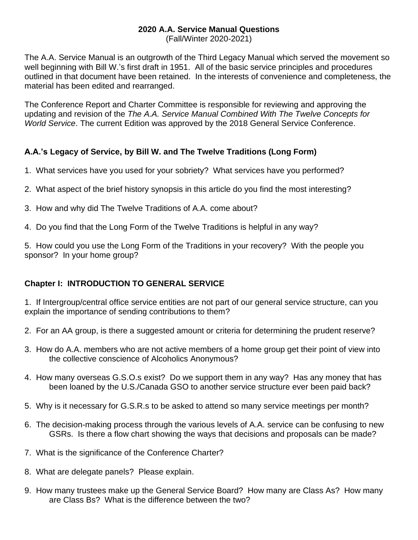# **2020 A.A. Service Manual Questions**

(Fall/Winter 2020-2021)

The A.A. Service Manual is an outgrowth of the Third Legacy Manual which served the movement so well beginning with Bill W.'s first draft in 1951. All of the basic service principles and procedures outlined in that document have been retained. In the interests of convenience and completeness, the material has been edited and rearranged.

The Conference Report and Charter Committee is responsible for reviewing and approving the updating and revision of the *The A.A. Service Manual Combined With The Twelve Concepts for World Service*. The current Edition was approved by the 2018 General Service Conference.

### **A.A.'s Legacy of Service, by Bill W. and The Twelve Traditions (Long Form)**

- 1. What services have you used for your sobriety? What services have you performed?
- 2. What aspect of the brief history synopsis in this article do you find the most interesting?
- 3. How and why did The Twelve Traditions of A.A. come about?
- 4. Do you find that the Long Form of the Twelve Traditions is helpful in any way?

5. How could you use the Long Form of the Traditions in your recovery? With the people you sponsor? In your home group?

### **Chapter I: INTRODUCTION TO GENERAL SERVICE**

1.If Intergroup/central office service entities are not part of our general service structure, can you explain the importance of sending contributions to them?

- 2. For an AA group, is there a suggested amount or criteria for determining the prudent reserve?
- 3. How do A.A. members who are not active members of a home group get their point of view into the collective conscience of Alcoholics Anonymous?
- 4. How many overseas G.S.O.s exist? Do we support them in any way? Has any money that has been loaned by the U.S./Canada GSO to another service structure ever been paid back?
- 5. Why is it necessary for G.S.R.s to be asked to attend so many service meetings per month?
- 6. The decision-making process through the various levels of A.A. service can be confusing to new GSRs. Is there a flow chart showing the ways that decisions and proposals can be made?
- 7. What is the significance of the Conference Charter?
- 8. What are delegate panels? Please explain.
- 9. How many trustees make up the General Service Board? How many are Class As? How many are Class Bs? What is the difference between the two?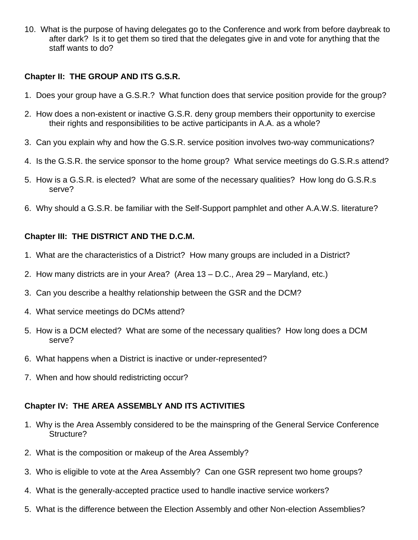10. What is the purpose of having delegates go to the Conference and work from before daybreak to after dark? Is it to get them so tired that the delegates give in and vote for anything that the staff wants to do?

#### **Chapter II: THE GROUP AND ITS G.S.R.**

- 1. Does your group have a G.S.R.? What function does that service position provide for the group?
- 2. How does a non-existent or inactive G.S.R. deny group members their opportunity to exercise their rights and responsibilities to be active participants in A.A. as a whole?
- 3. Can you explain why and how the G.S.R. service position involves two-way communications?
- 4. Is the G.S.R. the service sponsor to the home group? What service meetings do G.S.R.s attend?
- 5. How is a G.S.R. is elected? What are some of the necessary qualities? How long do G.S.R.s serve?
- 6. Why should a G.S.R. be familiar with the Self-Support pamphlet and other A.A.W.S. literature?

#### **Chapter III: THE DISTRICT AND THE D.C.M.**

- 1. What are the characteristics of a District? How many groups are included in a District?
- 2. How many districts are in your Area? (Area 13 D.C., Area 29 Maryland, etc.)
- 3. Can you describe a healthy relationship between the GSR and the DCM?
- 4. What service meetings do DCMs attend?
- 5. How is a DCM elected? What are some of the necessary qualities? How long does a DCM serve?
- 6. What happens when a District is inactive or under-represented?
- 7. When and how should redistricting occur?

#### **Chapter IV: THE AREA ASSEMBLY AND ITS ACTIVITIES**

- 1. Why is the Area Assembly considered to be the mainspring of the General Service Conference Structure?
- 2. What is the composition or makeup of the Area Assembly?
- 3. Who is eligible to vote at the Area Assembly? Can one GSR represent two home groups?
- 4. What is the generally-accepted practice used to handle inactive service workers?
- 5. What is the difference between the Election Assembly and other Non-election Assemblies?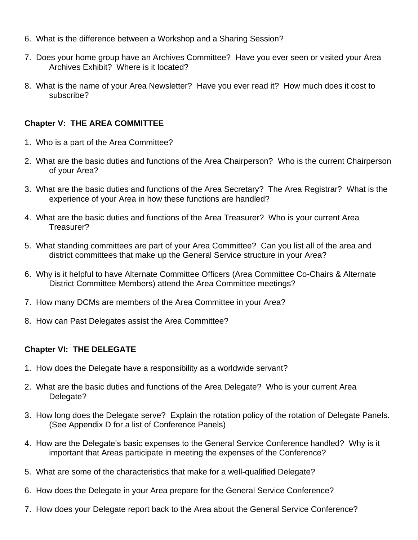- 6. What is the difference between a Workshop and a Sharing Session?
- 7. Does your home group have an Archives Committee? Have you ever seen or visited your Area Archives Exhibit? Where is it located?
- 8. What is the name of your Area Newsletter? Have you ever read it? How much does it cost to subscribe?

### **Chapter V: THE AREA COMMITTEE**

- 1. Who is a part of the Area Committee?
- 2. What are the basic duties and functions of the Area Chairperson? Who is the current Chairperson of your Area?
- 3. What are the basic duties and functions of the Area Secretary? The Area Registrar? What is the experience of your Area in how these functions are handled?
- 4. What are the basic duties and functions of the Area Treasurer? Who is your current Area Treasurer?
- 5. What standing committees are part of your Area Committee? Can you list all of the area and district committees that make up the General Service structure in your Area?
- 6. Why is it helpful to have Alternate Committee Officers (Area Committee Co-Chairs & Alternate District Committee Members) attend the Area Committee meetings?
- 7. How many DCMs are members of the Area Committee in your Area?
- 8. How can Past Delegates assist the Area Committee?

### **Chapter VI: THE DELEGATE**

- 1. How does the Delegate have a responsibility as a worldwide servant?
- 2. What are the basic duties and functions of the Area Delegate? Who is your current Area Delegate?
- 3. How long does the Delegate serve? Explain the rotation policy of the rotation of Delegate Panels. (See Appendix D for a list of Conference Panels)
- 4. How are the Delegate's basic expenses to the General Service Conference handled? Why is it important that Areas participate in meeting the expenses of the Conference?
- 5. What are some of the characteristics that make for a well-qualified Delegate?
- 6. How does the Delegate in your Area prepare for the General Service Conference?
- 7. How does your Delegate report back to the Area about the General Service Conference?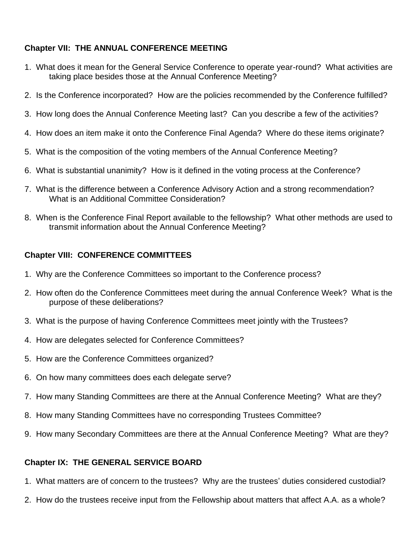## **Chapter VII: THE ANNUAL CONFERENCE MEETING**

- 1. What does it mean for the General Service Conference to operate year-round? What activities are taking place besides those at the Annual Conference Meeting?
- 2. Is the Conference incorporated? How are the policies recommended by the Conference fulfilled?
- 3. How long does the Annual Conference Meeting last? Can you describe a few of the activities?
- 4. How does an item make it onto the Conference Final Agenda? Where do these items originate?
- 5. What is the composition of the voting members of the Annual Conference Meeting?
- 6. What is substantial unanimity? How is it defined in the voting process at the Conference?
- 7. What is the difference between a Conference Advisory Action and a strong recommendation? What is an Additional Committee Consideration?
- 8. When is the Conference Final Report available to the fellowship? What other methods are used to transmit information about the Annual Conference Meeting?

### **Chapter VIII: CONFERENCE COMMITTEES**

- 1. Why are the Conference Committees so important to the Conference process?
- 2. How often do the Conference Committees meet during the annual Conference Week? What is the purpose of these deliberations?
- 3. What is the purpose of having Conference Committees meet jointly with the Trustees?
- 4. How are delegates selected for Conference Committees?
- 5. How are the Conference Committees organized?
- 6. On how many committees does each delegate serve?
- 7. How many Standing Committees are there at the Annual Conference Meeting? What are they?
- 8. How many Standing Committees have no corresponding Trustees Committee?
- 9. How many Secondary Committees are there at the Annual Conference Meeting? What are they?

#### **Chapter IX: THE GENERAL SERVICE BOARD**

- 1. What matters are of concern to the trustees? Why are the trustees' duties considered custodial?
- 2. How do the trustees receive input from the Fellowship about matters that affect A.A. as a whole?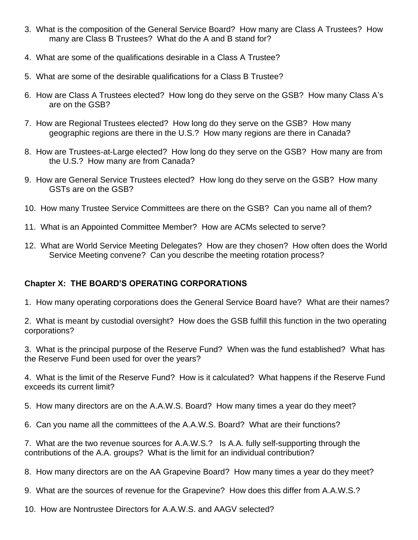- 3. What is the composition of the General Service Board? How many are Class A Trustees? How many are Class B Trustees? What do the A and B stand for?
- 4. What are some of the qualifications desirable in a Class A Trustee?
- 5. What are some of the desirable qualifications for a Class B Trustee?
- 6. How are Class A Trustees elected? How long do they serve on the GSB? How many Class A's are on the GSB?
- 7. How are Regional Trustees elected? How long do they serve on the GSB? How many geographic regions are there in the U.S.? How many regions are there in Canada?
- 8. How are Trustees-at-Large elected? How long do they serve on the GSB? How many are from the U.S.? How many are from Canada?
- 9. How are General Service Trustees elected? How long do they serve on the GSB? How many GSTs are on the GSB?
- 10. How many Trustee Service Committees are there on the GSB? Can you name all of them?
- 11. What is an Appointed Committee Member? How are ACMs selected to serve?
- 12. What are World Service Meeting Delegates? How are they chosen? How often does the World Service Meeting convene? Can you describe the meeting rotation process?

### **Chapter X: THE BOARD'S OPERATING CORPORATIONS**

- 1.How many operating corporations does the General Service Board have? What are their names?
- 2. What is meant by custodial oversight? How does the GSB fulfill this function in the two operating corporations?
- 3. What is the principal purpose of the Reserve Fund? When was the fund established? What has the Reserve Fund been used for over the years?
- 4. What is the limit of the Reserve Fund? How is it calculated? What happens if the Reserve Fund exceeds its current limit?
- 5. How many directors are on the A.A.W.S. Board? How many times a year do they meet?
- 6. Can you name all the committees of the A.A.W.S. Board? What are their functions?
- 7. What are the two revenue sources for A.A.W.S.? Is A.A. fully self-supporting through the contributions of the A.A. groups? What is the limit for an individual contribution?
- 8. How many directors are on the AA Grapevine Board? How many times a year do they meet?
- 9. What are the sources of revenue for the Grapevine? How does this differ from A.A.W.S.?
- 10. How are Nontrustee Directors for A.A.W.S. and AAGV selected?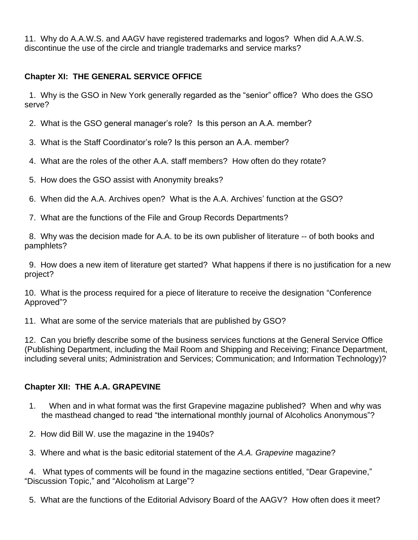11. Why do A.A.W.S. and AAGV have registered trademarks and logos? When did A.A.W.S. discontinue the use of the circle and triangle trademarks and service marks?

## **Chapter XI: THE GENERAL SERVICE OFFICE**

 1.Why is the GSO in New York generally regarded as the "senior" office? Who does the GSO serve?

2. What is the GSO general manager's role? Is this person an A.A. member?

3. What is the Staff Coordinator's role? Is this person an A.A. member?

4. What are the roles of the other A.A. staff members? How often do they rotate?

5. How does the GSO assist with Anonymity breaks?

6. When did the A.A. Archives open? What is the A.A. Archives' function at the GSO?

7. What are the functions of the File and Group Records Departments?

 8. Why was the decision made for A.A. to be its own publisher of literature -- of both books and pamphlets?

 9. How does a new item of literature get started? What happens if there is no justification for a new project?

10. What is the process required for a piece of literature to receive the designation "Conference Approved"?

11. What are some of the service materials that are published by GSO?

12. Can you briefly describe some of the business services functions at the General Service Office (Publishing Department, including the Mail Room and Shipping and Receiving; Finance Department, including several units; Administration and Services; Communication; and Information Technology)?

## **Chapter XII: THE A.A. GRAPEVINE**

- 1. When and in what format was the first Grapevine magazine published? When and why was the masthead changed to read "the international monthly journal of Alcoholics Anonymous"?
- 2. How did Bill W. use the magazine in the 1940s?
- 3. Where and what is the basic editorial statement of the *A.A. Grapevine* magazine?

 4. What types of comments will be found in the magazine sections entitled, "Dear Grapevine," "Discussion Topic," and "Alcoholism at Large"?

5. What are the functions of the Editorial Advisory Board of the AAGV? How often does it meet?